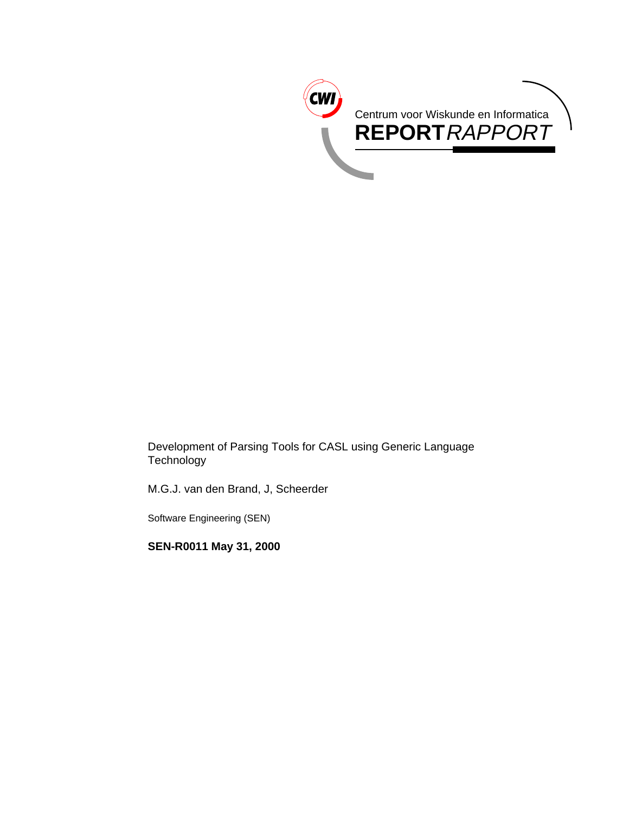

Development of Parsing Tools for CASL using Generic Language Technology

M.G.J. van den Brand, J, Scheerder

Software Engineering (SEN)

**SEN-R0011 May 31, 2000**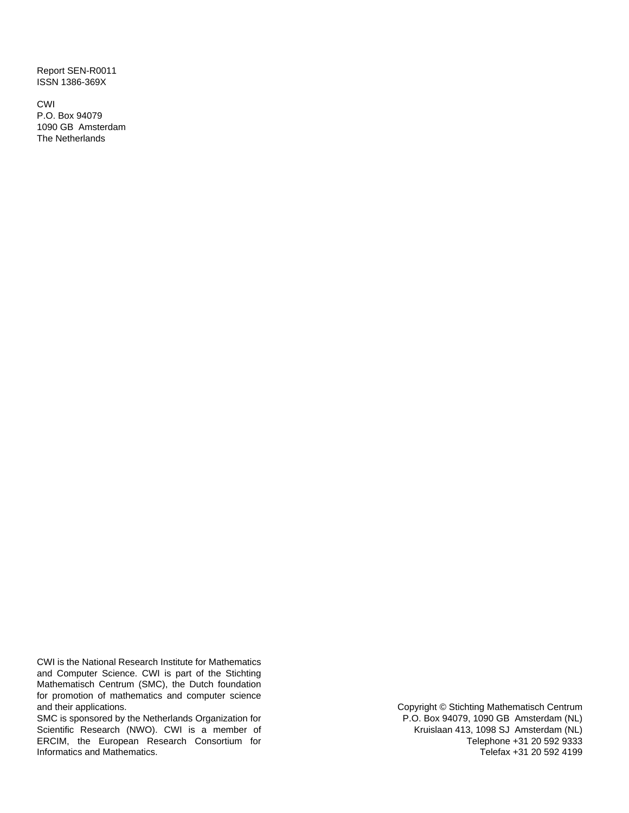Report SEN-R0011 ISSN 1386-369X

CWI P.O. Box 94079 1090 GB Amsterdam The Netherlands

CWI is the National Research Institute for Mathematics and Computer Science. CWI is part of the Stichting Mathematisch Centrum (SMC), the Dutch foundation for promotion of mathematics and computer science and their applications.

SMC is sponsored by the Netherlands Organization for Scientific Research (NWO). CWI is a member of ERCIM, the European Research Consortium for Informatics and Mathematics.

Copyright © Stichting Mathematisch Centrum P.O. Box 94079, 1090 GB Amsterdam (NL) Kruislaan 413, 1098 SJ Amsterdam (NL) Telephone +31 20 592 9333 Telefax +31 20 592 4199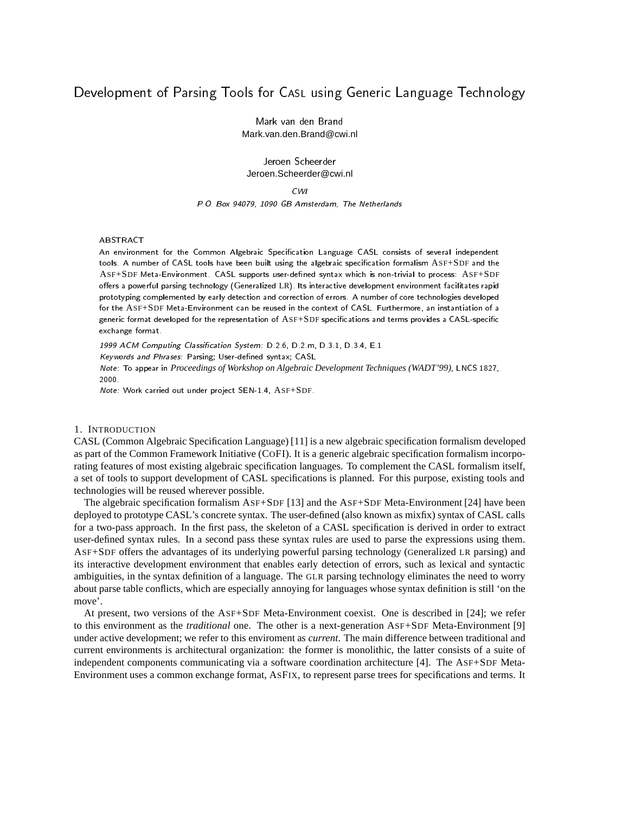# Development of Parsing Tools for CASL using Generic Language Technology

Mark van den Brand Mark.van.den.Brand@cwi.nl

Jeroen Scheerder Jeroen.Scheerder@cwi.nl

 $CWI$ 

P.O. Box 94079, 1090 GB Amsterdam, The Netherlands

#### **ABSTRACT**

An environment for the Common Algebraic Specification Language CASL consists of several independent tools. A number of CASL tools have been built using the algebraic specification formalism ASF+SDF and the ASF+SDF Meta-Environment. CASL supports user-defined syntax which is non-trivial to process: ASF+SDF offers a powerful parsing technology (Generalized LR). Its interactive development environment facilitates rapid prototyping complemented by early detection and correction of errors. A number of core technologies developed for the ASF+SDF Meta-Environment can be reused in the context of CASL. Furthermore, an instantiation of a generic format developed for the representation of ASF+SDF specifications and terms provides a CASL-specific exchange format.

1999 ACM Computing Classication System: D.2.6, D.2.m, D.3.1, D.3.4, E.1

Keywords and Phrases: Parsing; User-defined syntax; CASL

Note: To appear in *Proceedings of Workshop on Algebraic Development Techniques (WADT'99)*, LNCS 1827, 2000

Note: Work carried out under project SEN-1.4, ASF+SDF.

## 1. INTRODUCTION

CASL (Common Algebraic Specification Language) [11] is a new algebraic specification formalism developed as part of the Common Framework Initiative (COFI). It is a generic algebraic specification formalism incorporating features of most existing algebraic specification languages. To complement the CASL formalism itself, a set of tools to support development of CASL specifications is planned. For this purpose, existing tools and technologies will be reused wherever possible.

The algebraic specification formalism ASF+SDF [13] and the ASF+SDF Meta-Environment [24] have been deployed to prototype CASL's concrete syntax. The user-defined (also known as mixfix) syntax of CASL calls for a two-pass approach. In the first pass, the skeleton of a CASL specification is derived in order to extract user-defined syntax rules. In a second pass these syntax rules are used to parse the expressions using them. ASF+SDF offers the advantages of its underlying powerful parsing technology (Generalized LR parsing) and its interactive development environment that enables early detection of errors, such as lexical and syntactic ambiguities, in the syntax definition of a language. The GLR parsing technology eliminates the need to worry about parse table conflicts, which are especially annoying for languages whose syntax definition is still 'on the move'.

At present, two versions of the ASF+SDF Meta-Environment coexist. One is described in [24]; we refer to this environment as the *traditional* one. The other is a next-generation ASF+SDF Meta-Environment [9] under active development; we refer to this enviroment as *current*. The main difference between traditional and current environments is architectural organization: the former is monolithic, the latter consists of a suite of independent components communicating via a software coordination architecture [4]. The ASF+SDF Meta-Environment uses a common exchange format, ASFIX, to represent parse trees for specifications and terms. It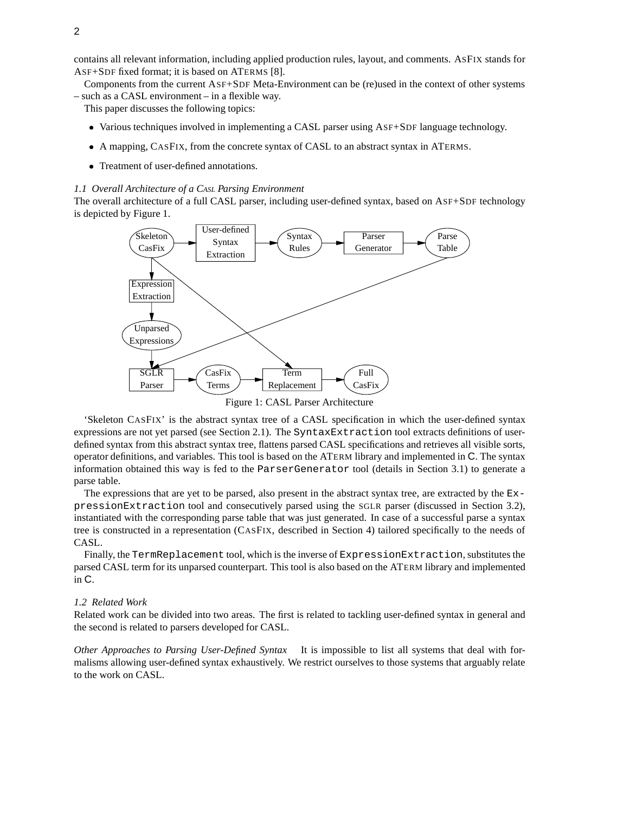contains all relevant information, including applied production rules, layout, and comments. ASFIX stands for ASF+SDF fixed format; it is based on ATERMS [8].

Components from the current ASF+SDF Meta-Environment can be (re)used in the context of other systems – such as a CASL environment – in a flexible way.

This paper discusses the following topics:

- Various techniques involved in implementing a CASL parser using ASF+SDF language technology.
- A mapping, CASFIX, from the concrete syntax of CASL to an abstract syntax in ATERMS.
- Treatment of user-defined annotations.

## *1.1 Overall Architecture of a CASL Parsing Environment*

The overall architecture of a full CASL parser, including user-defined syntax, based on ASF+SDF technology is depicted by Figure 1.



'Skeleton CASFIX' is the abstract syntax tree of a CASL specification in which the user-defined syntax expressions are not yet parsed (see Section 2.1). The SyntaxExtraction tool extracts definitions of userdefined syntax from this abstract syntax tree, flattens parsed CASL specifications and retrieves all visible sorts, operator definitions, and variables. This tool is based on the ATERM library and implemented in C. The syntax information obtained this way is fed to the ParserGenerator tool (details in Section 3.1) to generate a parse table.

The expressions that are yet to be parsed, also present in the abstract syntax tree, are extracted by the  $Ex$ pressionExtraction tool and consecutively parsed using the SGLR parser (discussed in Section 3.2), instantiated with the corresponding parse table that was just generated. In case of a successful parse a syntax tree is constructed in a representation (CASFIX, described in Section 4) tailored specifically to the needs of CASL.

Finally, the TermReplacement tool, which is the inverse of ExpressionExtraction, substitutes the parsed CASL term for its unparsed counterpart. This tool is also based on the ATERM library and implemented in C.

### *1.2 Related Work*

Related work can be divided into two areas. The first is related to tackling user-defined syntax in general and the second is related to parsers developed for CASL.

*Other Approaches to Parsing User-Defined Syntax* It is impossible to list all systems that deal with formalisms allowing user-defined syntax exhaustively. We restrict ourselves to those systems that arguably relate to the work on CASL.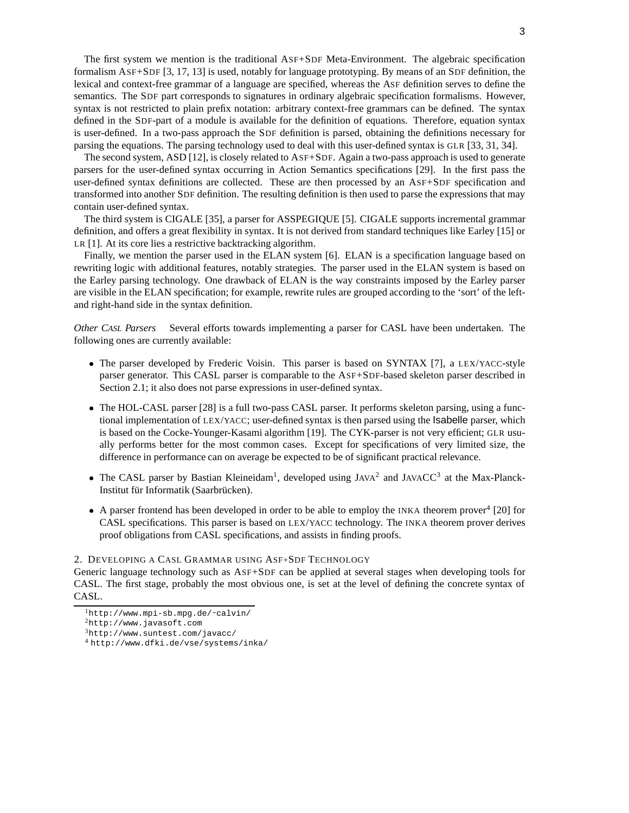The first system we mention is the traditional ASF+SDF Meta-Environment. The algebraic specification formalism ASF+SDF [3, 17, 13] is used, notably for language prototyping. By means of an SDF definition, the lexical and context-free grammar of a language are specified, whereas the ASF definition serves to define the semantics. The SDF part corresponds to signatures in ordinary algebraic specification formalisms. However, syntax is not restricted to plain prefix notation: arbitrary context-free grammars can be defined. The syntax defined in the SDF-part of a module is available for the definition of equations. Therefore, equation syntax is user-defined. In a two-pass approach the SDF definition is parsed, obtaining the definitions necessary for parsing the equations. The parsing technology used to deal with this user-defined syntax is GLR [33, 31, 34].

The second system, ASD [12], is closely related to ASF+SDF. Again a two-pass approach is used to generate parsers for the user-defined syntax occurring in Action Semantics specifications [29]. In the first pass the user-defined syntax definitions are collected. These are then processed by an ASF+SDF specification and transformed into another SDF definition. The resulting definition is then used to parse the expressions that may contain user-defined syntax.

The third system is CIGALE [35], a parser for ASSPEGIQUE [5]. CIGALE supports incremental grammar definition, and offers a great flexibility in syntax. It is not derived from standard techniques like Earley [15] or LR [1]. At its core lies a restrictive backtracking algorithm.

Finally, we mention the parser used in the ELAN system [6]. ELAN is a specification language based on rewriting logic with additional features, notably strategies. The parser used in the ELAN system is based on the Earley parsing technology. One drawback of ELAN is the way constraints imposed by the Earley parser are visible in the ELAN specification; for example, rewrite rules are grouped according to the 'sort' of the leftand right-hand side in the syntax definition.

*Other CASL Parsers* Several efforts towards implementing a parser for CASL have been undertaken. The following ones are currently available:

- The parser developed by Frederic Voisin. This parser is based on SYNTAX [7], a LEX/YACC-style parser generator. This CASL parser is comparable to the ASF+SDF-based skeleton parser described in Section 2.1; it also does not parse expressions in user-defined syntax.
- The HOL-CASL parser [28] is a full two-pass CASL parser. It performs skeleton parsing, using a functional implementation of LEX/YACC; user-defined syntax is then parsed using the Isabelle parser, which is based on the Cocke-Younger-Kasami algorithm [19]. The CYK-parser is not very efficient; GLR usually performs better for the most common cases. Except for specifications of very limited size, the difference in performance can on average be expected to be of significant practical relevance.
- The CASL parser by Bastian Kleineidam<sup>1</sup>, developed using JAVA<sup>2</sup> and JAVACC<sup>3</sup> at the Max-Planck-Institut für Informatik (Saarbrücken).
- A parser frontend has been developed in order to be able to employ the INKA theorem prover<sup>4</sup> [20] for CASL specifications. This parser is based on LEX/YACC technology. The INKA theorem prover derives proof obligations from CASL specifications, and assists in finding proofs.

#### 2. DEVELOPING A CASL GRAMMAR USING ASF+SDF TECHNOLOGY

Generic language technology such as ASF+SDF can be applied at several stages when developing tools for CASL. The first stage, probably the most obvious one, is set at the level of defining the concrete syntax of CASL.

<sup>&</sup>lt;sup>1</sup>http://www.mpi-sb.mpg.de/~calvin/<br><sup>2</sup>http://www.javasoft.com

<sup>3</sup>http://www.suntest.com/javacc/

<sup>4</sup> http://www.dfki.de/vse/systems/inka/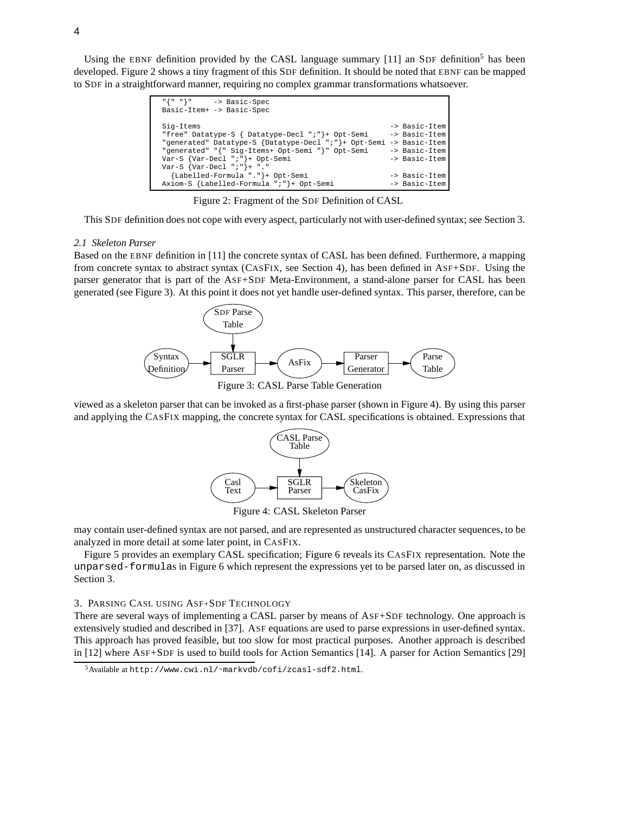Using the EBNF definition provided by the CASL language summary  $[11]$  an SDF definition<sup>5</sup> has been developed. Figure 2 shows a tiny fragment of this SDF definition. It should be noted that EBNF can be mapped to SDF in a straightforward manner, requiring no complex grammar transformations whatsoever.

| $"\{\cdot\mid\cdot\mid\cdot\mid\cdot$ -> Basic-Spec<br>Basic-Item+ -> Basic-Spec                                                                                                                                                                          |                                                                  |
|-----------------------------------------------------------------------------------------------------------------------------------------------------------------------------------------------------------------------------------------------------------|------------------------------------------------------------------|
| Sig-Items<br>"free" Datatype-S { Datatype-Decl ";"}+ Opt-Semi<br>"generated" Datatype-S {Datatype-Decl ";"}+ Opt-Semi -> Basic-Item<br>"generated" "{" Sig-Items+ Opt-Semi "}" Opt-Semi<br>Var-S {Var-Decl ";"}+ Opt-Semi<br>Var-S {Var-Decl $"i"$ }+ "." | -> Basic-Item<br>-> Basic-Item<br>-> Basic-Item<br>-> Basic-Item |
| {Labelled-Formula "."}+ Opt-Semi<br>Axiom-S {Labelled-Formula ";"}+ Opt-Semi                                                                                                                                                                              | -> Basic-Item<br>-> Basic-Item                                   |

Figure 2: Fragment of the SDF Definition of CASL

This SDF definition does not cope with every aspect, particularly not with user-defined syntax; see Section 3.

## *2.1 Skeleton Parser*

Based on the EBNF definition in [11] the concrete syntax of CASL has been defined. Furthermore, a mapping from concrete syntax to abstract syntax (CASFIX, see Section 4), has been defined in ASF+SDF. Using the parser generator that is part of the ASF+SDF Meta-Environment, a stand-alone parser for CASL has been generated (see Figure 3). At this point it does not yet handle user-defined syntax. This parser, therefore, can be



Figure 3: CASL Parse Table Generation

viewed as a skeleton parser that can be invoked as a first-phase parser (shown in Figure 4). By using this parser and applying the CASFIX mapping, the concrete syntax for CASL specifications is obtained. Expressions that



Figure 4: CASL Skeleton Parser

may contain user-defined syntax are not parsed, and are represented as unstructured character sequences, to be analyzed in more detail at some later point, in CASFIX.

Figure 5 provides an exemplary CASL specification; Figure 6 reveals its CASFIX representation. Note the unparsed-formulas in Figure 6 which represent the expressions yet to be parsed later on, as discussed in Section 3.

# 3. PARSING CASL USING ASF+SDF TECHNOLOGY

There are several ways of implementing a CASL parser by means of ASF+SDF technology. One approach is extensively studied and described in [37]. ASF equations are used to parse expressions in user-defined syntax. This approach has proved feasible, but too slow for most practical purposes. Another approach is described in [12] where ASF+SDF is used to build tools for Action Semantics [14]. A parser for Action Semantics [29]

<sup>5</sup>Available at http://www.cwi.nl/˜markvdb/cofi/zcasl-sdf2.html.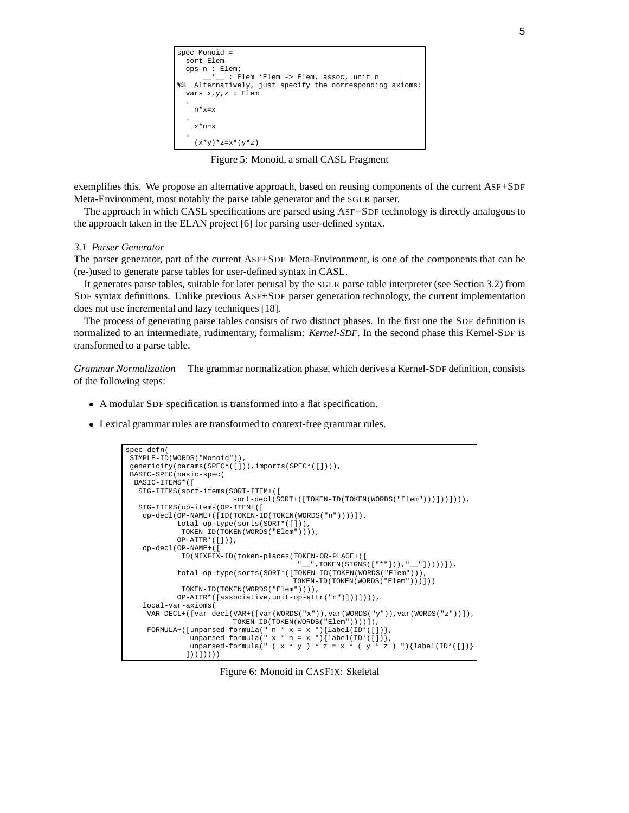```
spec Monoid =
 sort Elem
 ops n : Elem;
       \mathcal{L}^* : Elem *Elem -> Elem, assoc, unit n
%% Alternatively, just specify the corresponding axioms:
 vars x,y,z : Elem
  .
   n*x=x
  .
    x*n=x
  .
    (x*y)*z=x*(y*z)
```
Figure 5: Monoid, a small CASL Fragment

exemplifies this. We propose an alternative approach, based on reusing components of the current ASF+SDF Meta-Environment, most notably the parse table generator and the SGLR parser.

The approach in which CASL specifications are parsed using ASF+SDF technology is directly analogous to the approach taken in the ELAN project [6] for parsing user-defined syntax.

### *3.1 Parser Generator*

The parser generator, part of the current ASF+SDF Meta-Environment, is one of the components that can be (re-)used to generate parse tables for user-defined syntax in CASL.

It generates parse tables, suitable for later perusal by the SGLR parse table interpreter (see Section 3.2) from SDF syntax definitions. Unlike previous ASF+SDF parser generation technology, the current implementation does not use incremental and lazy techniques [18].

The process of generating parse tables consists of two distinct phases. In the first one the SDF definition is normalized to an intermediate, rudimentary, formalism: *Kernel-SDF*. In the second phase this Kernel-SDF is transformed to a parse table.

*Grammar Normalization* The grammar normalization phase, which derives a Kernel-SDF definition, consists of the following steps:

- A modular SDF specification is transformed into a flat specification.
- Lexical grammar rules are transformed to context-free grammar rules.

```
spec-defn(
SIMPLE-ID(WORDS("Monoid")),
genericity(params(SPEC*([])),imports(SPEC*([]))),
BASIC-SPEC(basic-spec(
 BASIC-ITEMS*([
  SIG-ITEMS(sort-items(SORT-ITEM+([
                          sort-decl(SORT+([TOKEN-ID(TOKEN(WORDS("Elem")))]))]))),
  SIG-ITEMS(op-items(OP-ITEM+([
   op-decl(OP-NAME+([ID(TOKEN-ID(TOKEN(WORDS("n"))))]),
            total-op-type(sorts(SORT*([])),
             TOKEN-ID(TOKEN(WORDS("Elem")))),
            OP-ATTR*([])),
   op-decl(OP-NAME+([
             ID(MIXFIX-ID(token-places(TOKEN-OR-PLACE+([
                                           "__",TOKEN(SIGNS(["*"])),"__"]))))]),
            total-op-type(sorts(SORT*([TOKEN-ID(TOKEN(WORDS("Elem"))),
                                         TOKEN-ID(TOKEN(WORDS("Elem")))]))
             TOKEN-ID(TOKEN(WORDS("Elem")))),
            OP-ATTR*([associative,unit-op-attr("n")]))]))),
   local-var-axioms(
    VAR-DECL+([var-decl(VAR+([var(WORDS("x")),var(WORDS("y")),var(WORDS("z"))]),
                          TOKEN-ID(TOKEN(WORDS("Elem"))))]),
     FORMULA + ([unparsed-formula(" n * x = x ")][label(ID*([])],\n   unparsed-formula(" x * n = x ")][label(ID*([])],\nunparsed-formula(" ( x * y ) * \bar{z} = x * (y * z) ") {label(ID*([])}
              ]))]))))
```
Figure 6: Monoid in CASFIX: Skeletal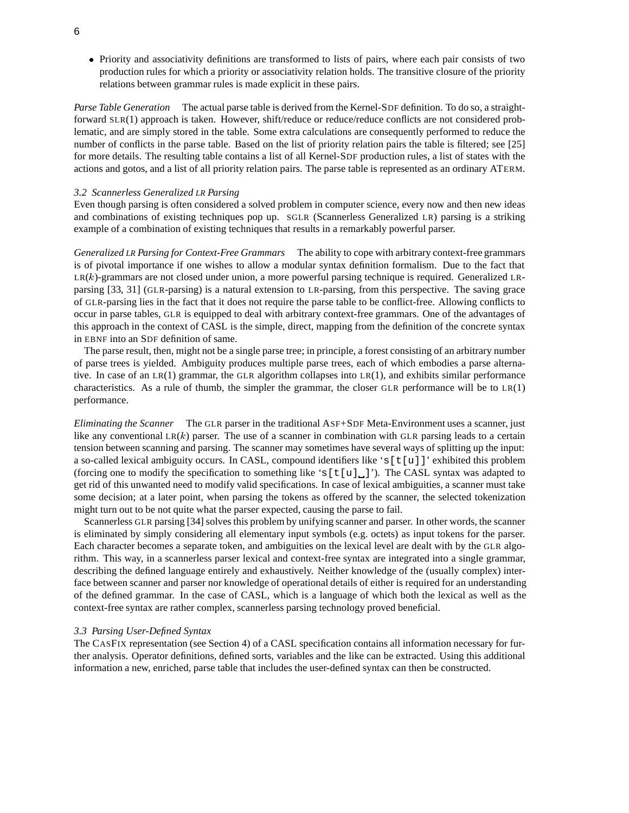Priority and associativity definitions are transformed to lists of pairs, where each pair consists of two production rules for which a priority or associativity relation holds. The transitive closure of the priority relations between grammar rules is made explicit in these pairs.

*Parse Table Generation* The actual parse table is derived from the Kernel-SDF definition. To do so, a straightforward SLR(1) approach is taken. However, shift/reduce or reduce/reduce conflicts are not considered problematic, and are simply stored in the table. Some extra calculations are consequently performed to reduce the number of conflicts in the parse table. Based on the list of priority relation pairs the table is filtered; see [25] for more details. The resulting table contains a list of all Kernel-SDF production rules, a list of states with the actions and gotos, and a list of all priority relation pairs. The parse table is represented as an ordinary ATERM.

# *3.2 Scannerless Generalized LR Parsing*

Even though parsing is often considered a solved problem in computer science, every now and then new ideas and combinations of existing techniques pop up. SGLR (Scannerless Generalized LR) parsing is a striking example of a combination of existing techniques that results in a remarkably powerful parser.

*Generalized LR Parsing for Context-Free Grammars* The ability to cope with arbitrary context-free grammars is of pivotal importance if one wishes to allow a modular syntax definition formalism. Due to the fact that  $LR(k)$ -grammars are not closed under union, a more powerful parsing technique is required. Generalized LRparsing [33, 31] (GLR-parsing) is a natural extension to LR-parsing, from this perspective. The saving grace of GLR-parsing lies in the fact that it does not require the parse table to be conflict-free. Allowing conflicts to occur in parse tables, GLR is equipped to deal with arbitrary context-free grammars. One of the advantages of this approach in the context of CASL is the simple, direct, mapping from the definition of the concrete syntax in EBNF into an SDF definition of same.

The parse result, then, might not be a single parse tree; in principle, a forest consisting of an arbitrary number of parse trees is yielded. Ambiguity produces multiple parse trees, each of which embodies a parse alternative. In case of an LR(1) grammar, the GLR algorithm collapses into LR(1), and exhibits similar performance characteristics. As a rule of thumb, the simpler the grammar, the closer GLR performance will be to LR(1) performance.

*Eliminating the Scanner* The GLR parser in the traditional ASF+SDF Meta-Environment uses a scanner, just like any conventional LR(k) parser. The use of a scanner in combination with GLR parsing leads to a certain tension between scanning and parsing. The scanner may sometimes have several ways of splitting up the input: a so-called lexical ambiguity occurs. In CASL, compound identifiers like 's  $[t[u]]$ ' exhibited this problem (forcing one to modify the specification to something like 's[t[u]]'). The CASL syntax was adapted to get rid of this unwanted need to modify valid specifications. In case of lexical ambiguities, a scanner must take some decision; at a later point, when parsing the tokens as offered by the scanner, the selected tokenization might turn out to be not quite what the parser expected, causing the parse to fail.

Scannerless GLR parsing [34] solves this problem by unifying scanner and parser. In other words, the scanner is eliminated by simply considering all elementary input symbols (e.g. octets) as input tokens for the parser. Each character becomes a separate token, and ambiguities on the lexical level are dealt with by the GLR algorithm. This way, in a scannerless parser lexical and context-free syntax are integrated into a single grammar, describing the defined language entirely and exhaustively. Neither knowledge of the (usually complex) interface between scanner and parser nor knowledge of operational details of either is required for an understanding of the defined grammar. In the case of CASL, which is a language of which both the lexical as well as the context-free syntax are rather complex, scannerless parsing technology proved beneficial.

# *3.3 Parsing User-Defined Syntax*

The CASFIX representation (see Section 4) of a CASL specification contains all information necessary for further analysis. Operator definitions, defined sorts, variables and the like can be extracted. Using this additional information a new, enriched, parse table that includes the user-defined syntax can then be constructed.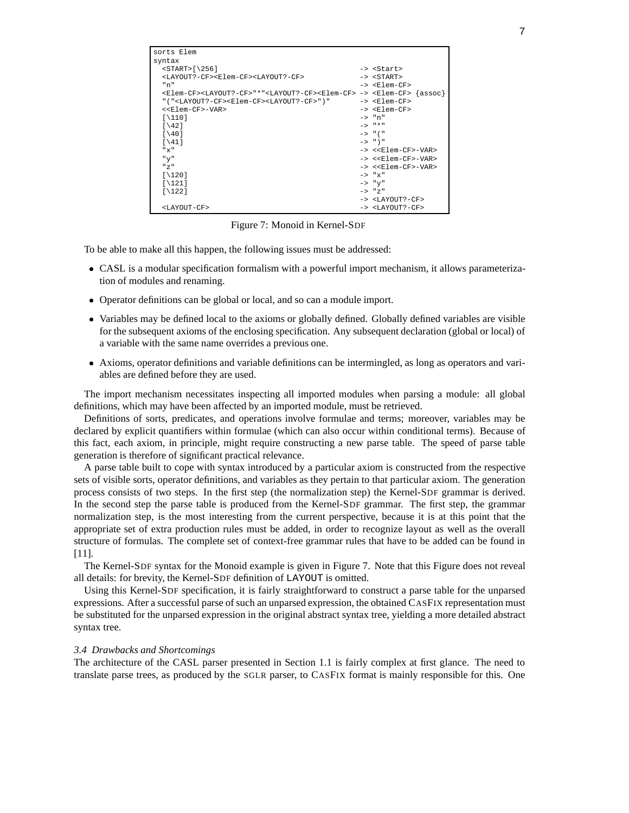| sorts Elem                                                                   |                               |
|------------------------------------------------------------------------------|-------------------------------|
| syntax                                                                       |                               |
| $<$ START> $[ \ \ 256 ]$                                                     | -> <start></start>            |
| <layout?-cf><elem-cf><layout?-cf></layout?-cf></elem-cf></layout?-cf>        | $->$ <start></start>          |
| "n"                                                                          | $->$ $<$ $F$ ] $em$ $ CF$ $>$ |
| $\verb  " * " -< Elem-CF" {assoc} $                                          |                               |
| "(" <layout?-cf><elem-cf><layout?-cf>")"</layout?-cf></elem-cf></layout?-cf> | $->$ $<$ $E$ ] $em$ $ CF$ $>$ |
| $<<$ $R$ ] $em$ $ CF$ $>$ $ V$ $AR$ $>$                                      | $->$ < $F$ ] $em$ - $CF$ >    |
| $[\ \110]$                                                                   | $-> "n"$                      |
| $1\leq 421$                                                                  | $-5$ $+1$                     |
| $[\ \ 40]$                                                                   | -> "("                        |
| $1\backslash 411$                                                            | $-> "')"$                     |
| " x "                                                                        | $-> -VAR>$                    |
| "y"                                                                          | $-> << E$ ] $em-CF>-VAR>$     |
| "Z"                                                                          | $-> << E$ ] $em-CF>-VAR>$     |
| $[\ \120]$                                                                   | $-> "x"$                      |
| $[\ \121]$                                                                   | $-> "V"$                      |
| $[\122]$                                                                     | $-> "Z"$                      |
|                                                                              | -> <layout?-cf></layout?-cf>  |
| <layout-cf></layout-cf>                                                      | -> <layout?-cf></layout?-cf>  |

Figure 7: Monoid in Kernel-SDF

To be able to make all this happen, the following issues must be addressed:

- CASL is a modular specification formalism with a powerful import mechanism, it allows parameterization of modules and renaming.
- Operator definitions can be global or local, and so can a module import.
- Variables may be defined local to the axioms or globally defined. Globally defined variables are visible for the subsequent axioms of the enclosing specification. Any subsequent declaration (global or local) of a variable with the same name overrides a previous one.
- Axioms, operator definitions and variable definitions can be intermingled, as long as operators and variables are defined before they are used.

The import mechanism necessitates inspecting all imported modules when parsing a module: all global definitions, which may have been affected by an imported module, must be retrieved.

Definitions of sorts, predicates, and operations involve formulae and terms; moreover, variables may be declared by explicit quantifiers within formulae (which can also occur within conditional terms). Because of this fact, each axiom, in principle, might require constructing a new parse table. The speed of parse table generation is therefore of significant practical relevance.

A parse table built to cope with syntax introduced by a particular axiom is constructed from the respective sets of visible sorts, operator definitions, and variables as they pertain to that particular axiom. The generation process consists of two steps. In the first step (the normalization step) the Kernel-SDF grammar is derived. In the second step the parse table is produced from the Kernel-SDF grammar. The first step, the grammar normalization step, is the most interesting from the current perspective, because it is at this point that the appropriate set of extra production rules must be added, in order to recognize layout as well as the overall structure of formulas. The complete set of context-free grammar rules that have to be added can be found in [11].

The Kernel-SDF syntax for the Monoid example is given in Figure 7. Note that this Figure does not reveal all details: for brevity, the Kernel-SDF definition of LAYOUT is omitted.

Using this Kernel-SDF specification, it is fairly straightforward to construct a parse table for the unparsed expressions. After a successful parse of such an unparsed expression, the obtained CASFIX representation must be substituted for the unparsed expression in the original abstract syntax tree, yielding a more detailed abstract syntax tree.

## *3.4 Drawbacks and Shortcomings*

The architecture of the CASL parser presented in Section 1.1 is fairly complex at first glance. The need to translate parse trees, as produced by the SGLR parser, to CASFIX format is mainly responsible for this. One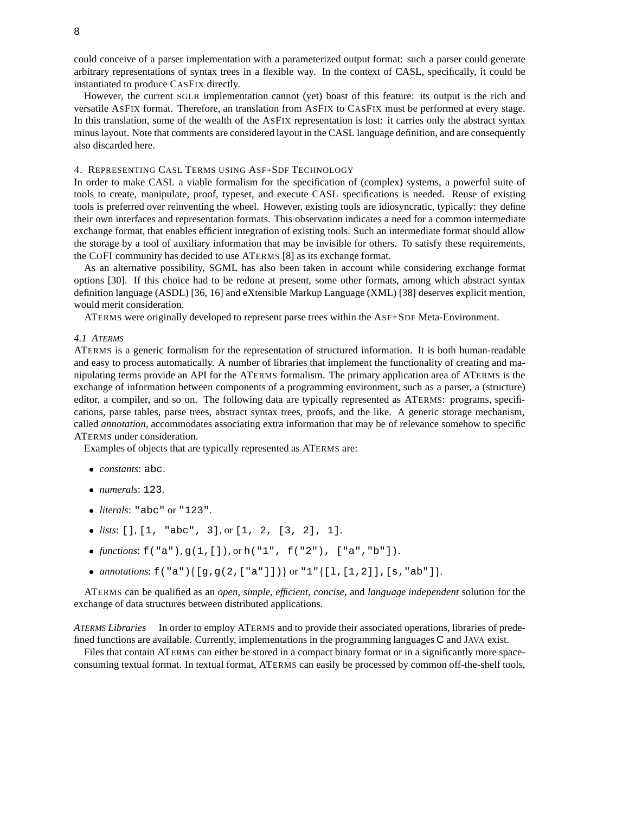could conceive of a parser implementation with a parameterized output format: such a parser could generate arbitrary representations of syntax trees in a flexible way. In the context of CASL, specifically, it could be instantiated to produce CASFIX directly.

However, the current SGLR implementation cannot (yet) boast of this feature: its output is the rich and versatile ASFIX format. Therefore, an translation from ASFIX to CASFIX must be performed at every stage. In this translation, some of the wealth of the ASFIX representation is lost: it carries only the abstract syntax minus layout. Note that comments are considered layout in the CASL language definition, and are consequently also discarded here.

# 4. REPRESENTING CASL TERMS USING ASF+SDF TECHNOLOGY

In order to make CASL a viable formalism for the specification of (complex) systems, a powerful suite of tools to create, manipulate, proof, typeset, and execute CASL specifications is needed. Reuse of existing tools is preferred over reinventing the wheel. However, existing tools are idiosyncratic, typically: they define their own interfaces and representation formats. This observation indicates a need for a common intermediate exchange format, that enables efficient integration of existing tools. Such an intermediate format should allow the storage by a tool of auxiliary information that may be invisible for others. To satisfy these requirements, the COFI community has decided to use ATERMS [8] as its exchange format.

As an alternative possibility, SGML has also been taken in account while considering exchange format options [30]. If this choice had to be redone at present, some other formats, among which abstract syntax definition language (ASDL) [36, 16] and eXtensible Markup Language (XML) [38] deserves explicit mention, would merit consideration.

ATERMS were originally developed to represent parse trees within the ASF+SDF Meta-Environment.

# *4.1 ATERMS*

ATERMS is a generic formalism for the representation of structured information. It is both human-readable and easy to process automatically. A number of libraries that implement the functionality of creating and manipulating terms provide an API for the ATERMS formalism. The primary application area of ATERMS is the exchange of information between components of a programming environment, such as a parser, a (structure) editor, a compiler, and so on. The following data are typically represented as ATERMS: programs, specifications, parse tables, parse trees, abstract syntax trees, proofs, and the like. A generic storage mechanism, called *annotation*, accommodates associating extra information that may be of relevance somehow to specific ATERMS under consideration.

Examples of objects that are typically represented as ATERMS are:

- *constants*: abc.
- *numerals*: 123.
- *literals*: "abc" or "123".
- *lists*: [], [1, "abc", 3], or [1, 2, [3, 2], 1].
- *functions*: f("a"), g(1,[]), or h("1", f("2"), ["a","b"]).
- *annotations*: f("a"){[g,g(2,["a"]])} or "1"{[1,[1,2]],[s,"ab"]}.

ATERMS can be qualified as an *open*, *simple*, *efficient*, *concise*, and *language independent* solution for the exchange of data structures between distributed applications.

*ATERMS Libraries* In order to employ ATERMS and to provide their associated operations, libraries of predefined functions are available. Currently, implementations in the programming languages C and JAVA exist.

Files that contain ATERMS can either be stored in a compact binary format or in a significantly more spaceconsuming textual format. In textual format, ATERMS can easily be processed by common off-the-shelf tools,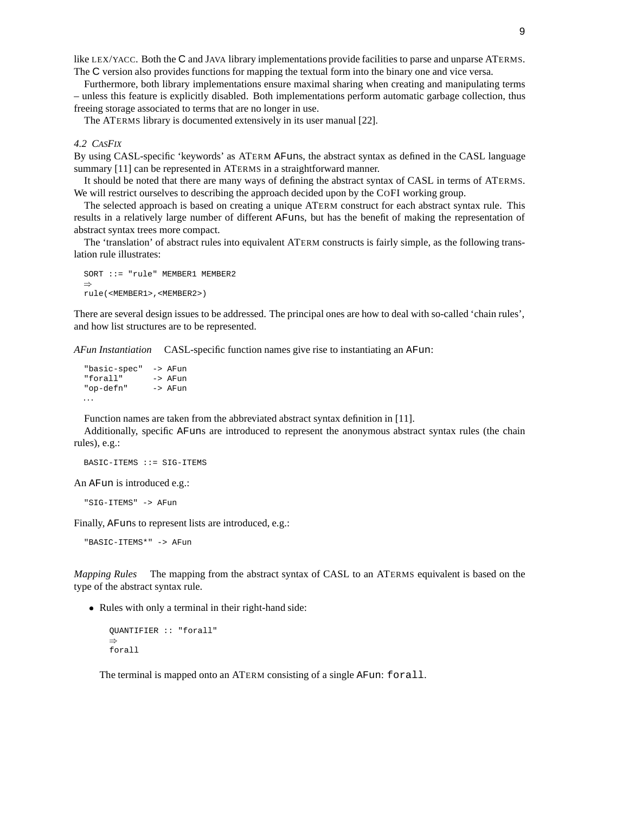like LEX/YACC. Both the C and JAVA library implementations provide facilities to parse and unparse ATERMS. The C version also provides functions for mapping the textual form into the binary one and vice versa.

Furthermore, both library implementations ensure maximal sharing when creating and manipulating terms – unless this feature is explicitly disabled. Both implementations perform automatic garbage collection, thus freeing storage associated to terms that are no longer in use.

The ATERMS library is documented extensively in its user manual [22].

#### *4.2 CASFIX*

By using CASL-specific 'keywords' as ATERM AFuns, the abstract syntax as defined in the CASL language summary [11] can be represented in ATERMS in a straightforward manner.

It should be noted that there are many ways of defining the abstract syntax of CASL in terms of ATERMS. We will restrict ourselves to describing the approach decided upon by the COFI working group.

The selected approach is based on creating a unique ATERM construct for each abstract syntax rule. This results in a relatively large number of different AFuns, but has the benefit of making the representation of abstract syntax trees more compact.

The 'translation' of abstract rules into equivalent ATERM constructs is fairly simple, as the following translation rule illustrates:

```
SORT ::= "rule" MEMBER1 MEMBER2
\Rightarrowrule(<MEMBER1>,<MEMBER2>)
```
There are several design issues to be addressed. The principal ones are how to deal with so-called 'chain rules', and how list structures are to be represented.

*AFun Instantiation* CASL-specific function names give rise to instantiating an AFun:

```
"basic-spec" -> AFun
"forall" -> AFun
"op-defn" -> AFun :::
```
Function names are taken from the abbreviated abstract syntax definition in [11].

Additionally, specific AFuns are introduced to represent the anonymous abstract syntax rules (the chain rules), e.g.:

```
BASIC-ITEMS ::= SIG-ITEMS
```
An AFun is introduced e.g.:

```
"SIG-ITEMS" -> AFun
```
Finally, AFuns to represent lists are introduced, e.g.:

"BASIC-ITEMS\*" -> AFun

*Mapping Rules* The mapping from the abstract syntax of CASL to an ATERMS equivalent is based on the type of the abstract syntax rule.

Rules with only a terminal in their right-hand side:

```
QUANTIFIER :: "forall"
\Rightarrow\sim ) and \sim 100 \sim 100 \sim 100 \sim 100 \sim 100 \sim 100 \sim 100 \sim 100 \sim 100 \sim 100 \sim 100 \simforall
```
The terminal is mapped onto an ATERM consisting of a single AFun: forall.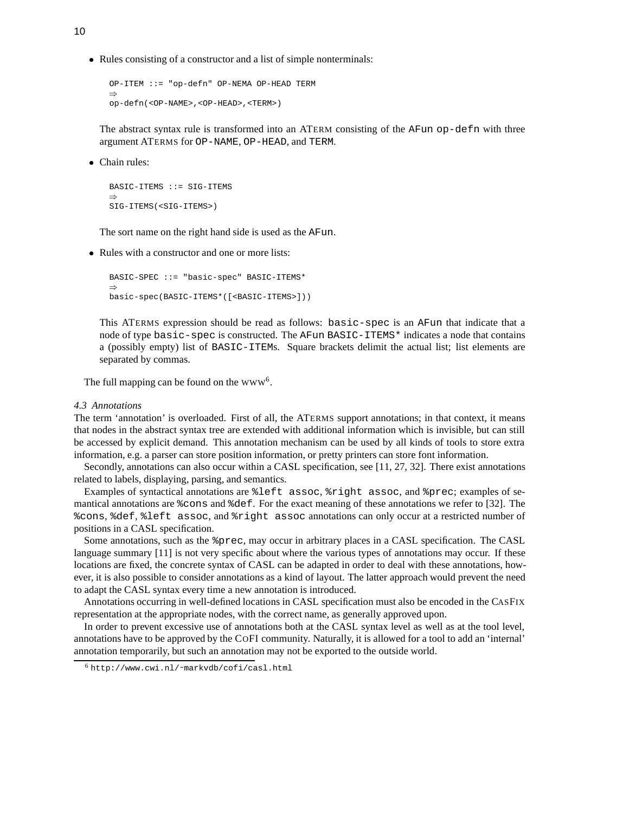Rules consisting of a constructor and a list of simple nonterminals:

```
OP-ITEM ::= "op-defn" OP-NEMA OP-HEAD TERM
\Rightarrow\sim ) and \sim 10 \sim 100 \sim 100 \sim 100 \sim 100 \sim 100 \sim 100 \sim 100 \sim 100 \sim 100 \sim 100 \sim 100 \simop-defn(<OP-NAME>,<OP-HEAD>,<TERM>)
```
The abstract syntax rule is transformed into an ATERM consisting of the AFun op-defn with three argument ATERMS for OP-NAME, OP-HEAD, and TERM.

Chain rules:

```
BASIC-ITEMS ::= SIG-ITEMS
\Rightarrow\sim 1.0 \sim 1.0 \sim 1.0 \sim 1.0 \sim 1.0 \sim 1.0 \sim 1.0 \sim 1.0 \sim 1.0 \sim 1.0 \sim 1.0 \sim 1.0 \sim 1.0 \sim 1.0 \sim 1.0 \sim 1.0 \sim 1.0 \sim 1.0 \sim 1.0 \sim 1.0 \sim 1.0 \sim 1.0 \sim 1.0 \sim 1.0 \sim 
SIG-ITEMS(<SIG-ITEMS>)
```
The sort name on the right hand side is used as the AFun.

Rules with a constructor and one or more lists:

```
BASIC-SPEC ::= "basic-spec" BASIC-ITEMS*
\Rightarrow\sim ) and \sim 10 \sim 100 \sim 100 \sim 100 \sim 100 \sim 100 \sim 100 \sim 100 \sim 100 \sim 100 \sim 100 \sim 100 \simbasic-spec(BASIC-ITEMS*([<BASIC-ITEMS>]))
```
This ATERMS expression should be read as follows: basic-spec is an AFun that indicate that a node of type basic-spec is constructed. The AFun BASIC-ITEMS\* indicates a node that contains a (possibly empty) list of BASIC-ITEMs. Square brackets delimit the actual list; list elements are separated by commas.

The full mapping can be found on the  $WW^6$ .

## *4.3 Annotations*

The term 'annotation' is overloaded. First of all, the ATERMS support annotations; in that context, it means that nodes in the abstract syntax tree are extended with additional information which is invisible, but can still be accessed by explicit demand. This annotation mechanism can be used by all kinds of tools to store extra information, e.g. a parser can store position information, or pretty printers can store font information.

Secondly, annotations can also occur within a CASL specification, see [11, 27, 32]. There exist annotations related to labels, displaying, parsing, and semantics.

Examples of syntactical annotations are %left assoc, %right assoc, and %prec; examples of semantical annotations are %cons and %def. For the exact meaning of these annotations we refer to [32]. The %cons, %def, %left assoc, and %right assoc annotations can only occur at a restricted number of positions in a CASL specification.

Some annotations, such as the %prec, may occur in arbitrary places in a CASL specification. The CASL language summary [11] is not very specific about where the various types of annotations may occur. If these locations are fixed, the concrete syntax of CASL can be adapted in order to deal with these annotations, however, it is also possible to consider annotations as a kind of layout. The latter approach would prevent the need to adapt the CASL syntax every time a new annotation is introduced.

Annotations occurring in well-defined locations in CASL specification must also be encoded in the CASFIX representation at the appropriate nodes, with the correct name, as generally approved upon.

In order to prevent excessive use of annotations both at the CASL syntax level as well as at the tool level, annotations have to be approved by the COFI community. Naturally, it is allowed for a tool to add an 'internal' annotation temporarily, but such an annotation may not be exported to the outside world.

<sup>6</sup> http://www.cwi.nl/˜markvdb/cofi/casl.html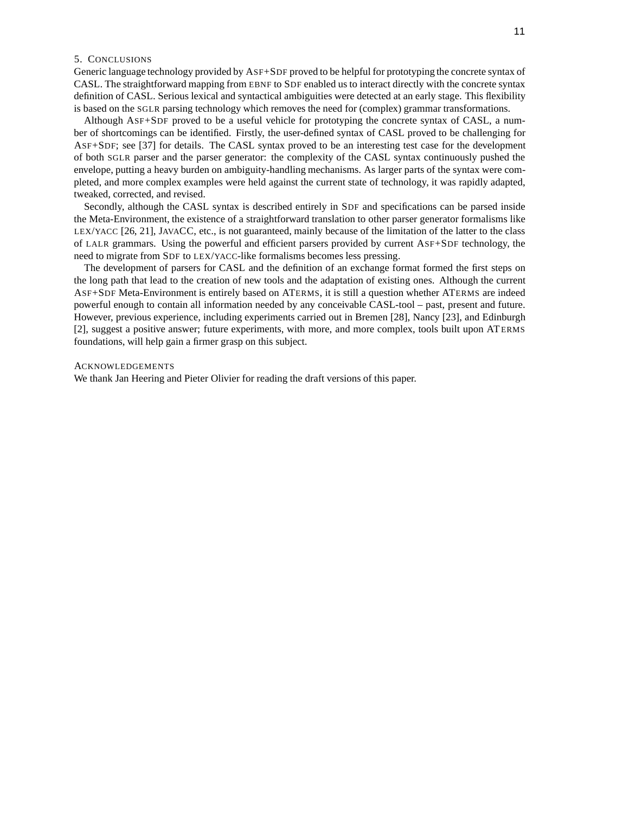#### 5. CONCLUSIONS

Generic language technology provided by ASF+SDF proved to be helpful for prototyping the concrete syntax of CASL. The straightforward mapping from EBNF to SDF enabled us to interact directly with the concrete syntax definition of CASL. Serious lexical and syntactical ambiguities were detected at an early stage. This flexibility is based on the SGLR parsing technology which removes the need for (complex) grammar transformations.

Although ASF+SDF proved to be a useful vehicle for prototyping the concrete syntax of CASL, a number of shortcomings can be identified. Firstly, the user-defined syntax of CASL proved to be challenging for ASF+SDF; see [37] for details. The CASL syntax proved to be an interesting test case for the development of both SGLR parser and the parser generator: the complexity of the CASL syntax continuously pushed the envelope, putting a heavy burden on ambiguity-handling mechanisms. As larger parts of the syntax were completed, and more complex examples were held against the current state of technology, it was rapidly adapted, tweaked, corrected, and revised.

Secondly, although the CASL syntax is described entirely in SDF and specifications can be parsed inside the Meta-Environment, the existence of a straightforward translation to other parser generator formalisms like LEX/YACC [26, 21], JAVACC, etc., is not guaranteed, mainly because of the limitation of the latter to the class of LALR grammars. Using the powerful and efficient parsers provided by current ASF+SDF technology, the need to migrate from SDF to LEX/YACC-like formalisms becomes less pressing.

The development of parsers for CASL and the definition of an exchange format formed the first steps on the long path that lead to the creation of new tools and the adaptation of existing ones. Although the current ASF+SDF Meta-Environment is entirely based on ATERMS, it is still a question whether ATERMS are indeed powerful enough to contain all information needed by any conceivable CASL-tool – past, present and future. However, previous experience, including experiments carried out in Bremen [28], Nancy [23], and Edinburgh [2], suggest a positive answer; future experiments, with more, and more complex, tools built upon ATERMS foundations, will help gain a firmer grasp on this subject.

### ACKNOWLEDGEMENTS

We thank Jan Heering and Pieter Olivier for reading the draft versions of this paper.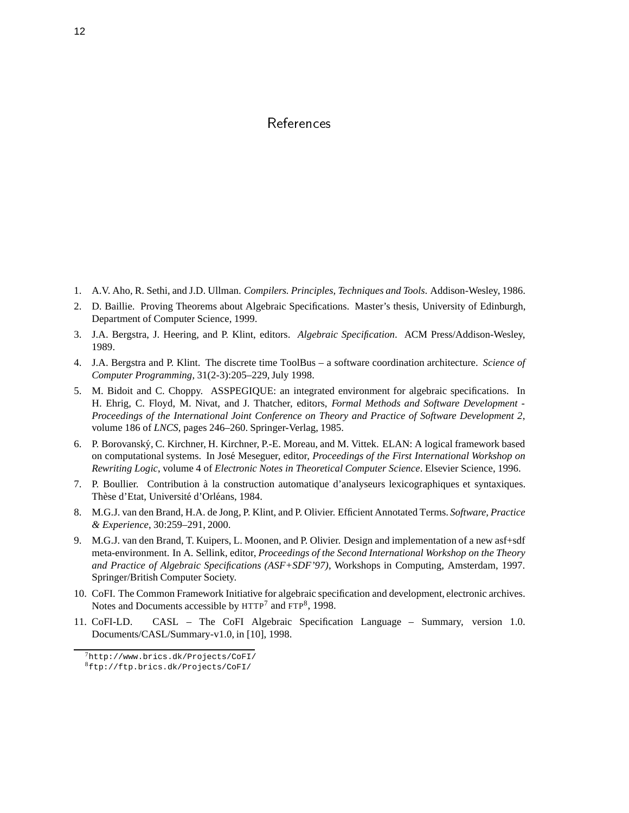# References

- 1. A.V. Aho, R. Sethi, and J.D. Ullman. *Compilers. Principles, Techniques and Tools*. Addison-Wesley, 1986.
- 2. D. Baillie. Proving Theorems about Algebraic Specifications. Master's thesis, University of Edinburgh, Department of Computer Science, 1999.
- 3. J.A. Bergstra, J. Heering, and P. Klint, editors. *Algebraic Specification*. ACM Press/Addison-Wesley, 1989.
- 4. J.A. Bergstra and P. Klint. The discrete time ToolBus a software coordination architecture. *Science of Computer Programming*, 31(2-3):205–229, July 1998.
- 5. M. Bidoit and C. Choppy. ASSPEGIQUE: an integrated environment for algebraic specifications. In H. Ehrig, C. Floyd, M. Nivat, and J. Thatcher, editors, *Formal Methods and Software Development - Proceedings of the International Joint Conference on Theory and Practice of Software Development 2*, volume 186 of *LNCS*, pages 246–260. Springer-Verlag, 1985.
- 6. P. Borovansk´y, C. Kirchner, H. Kirchner, P.-E. Moreau, and M. Vittek. ELAN: A logical framework based on computational systems. In Jos´e Meseguer, editor, *Proceedings of the First International Workshop on Rewriting Logic*, volume 4 of *Electronic Notes in Theoretical Computer Science*. Elsevier Science, 1996.
- 7. P. Boullier. Contribution `a la construction automatique d'analyseurs lexicographiques et syntaxiques. Thèse d'Etat, Université d'Orléans, 1984.
- 8. M.G.J. van den Brand, H.A. de Jong, P. Klint, and P. Olivier. Efficient Annotated Terms. *Software, Practice & Experience*, 30:259–291, 2000.
- 9. M.G.J. van den Brand, T. Kuipers, L. Moonen, and P. Olivier. Design and implementation of a new asf+sdf meta-environment. In A. Sellink, editor, *Proceedings of the Second International Workshop on the Theory and Practice of Algebraic Specifications (ASF+SDF'97)*, Workshops in Computing, Amsterdam, 1997. Springer/British Computer Society.
- 10. CoFI. The Common Framework Initiative for algebraic specification and development, electronic archives. Notes and Documents accessible by  $HTTP<sup>7</sup>$  and  $FTP<sup>8</sup>$ , 1998.
- 11. CoFI-LD. CASL The CoFI Algebraic Specification Language Summary, version 1.0. Documents/CASL/Summary-v1.0, in [10], 1998.

<sup>7</sup>http://www.brics.dk/Projects/CoFI/

<sup>8</sup>ftp://ftp.brics.dk/Projects/CoFI/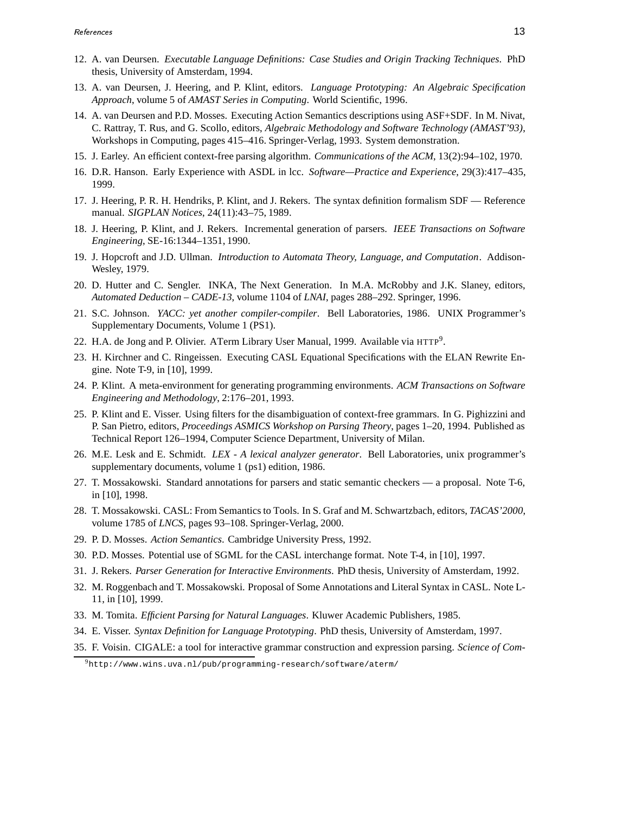- 12. A. van Deursen. *Executable Language Definitions: Case Studies and Origin Tracking Techniques*. PhD thesis, University of Amsterdam, 1994.
- 13. A. van Deursen, J. Heering, and P. Klint, editors. *Language Prototyping: An Algebraic Specification Approach*, volume 5 of *AMAST Series in Computing*. World Scientific, 1996.
- 14. A. van Deursen and P.D. Mosses. Executing Action Semantics descriptions using ASF+SDF. In M. Nivat, C. Rattray, T. Rus, and G. Scollo, editors, *Algebraic Methodology and Software Technology (AMAST'93)*, Workshops in Computing, pages 415–416. Springer-Verlag, 1993. System demonstration.
- 15. J. Earley. An efficient context-free parsing algorithm. *Communications of the ACM*, 13(2):94–102, 1970.
- 16. D.R. Hanson. Early Experience with ASDL in lcc. *Software—Practice and Experience*, 29(3):417–435, 1999.
- 17. J. Heering, P. R. H. Hendriks, P. Klint, and J. Rekers. The syntax definition formalism SDF Reference manual. *SIGPLAN Notices*, 24(11):43–75, 1989.
- 18. J. Heering, P. Klint, and J. Rekers. Incremental generation of parsers. *IEEE Transactions on Software Engineering*, SE-16:1344–1351, 1990.
- 19. J. Hopcroft and J.D. Ullman. *Introduction to Automata Theory, Language, and Computation*. Addison-Wesley, 1979.
- 20. D. Hutter and C. Sengler. INKA, The Next Generation. In M.A. McRobby and J.K. Slaney, editors, *Automated Deduction – CADE-13*, volume 1104 of *LNAI*, pages 288–292. Springer, 1996.
- 21. S.C. Johnson. *YACC: yet another compiler-compiler*. Bell Laboratories, 1986. UNIX Programmer's Supplementary Documents, Volume 1 (PS1).
- 22. H.A. de Jong and P. Olivier. ATerm Library User Manual, 1999. Available via HTTP9.
- 23. H. Kirchner and C. Ringeissen. Executing CASL Equational Specifications with the ELAN Rewrite Engine. Note T-9, in [10], 1999.
- 24. P. Klint. A meta-environment for generating programming environments. *ACM Transactions on Software Engineering and Methodology*, 2:176–201, 1993.
- 25. P. Klint and E. Visser. Using filters for the disambiguation of context-free grammars. In G. Pighizzini and P. San Pietro, editors, *Proceedings ASMICS Workshop on Parsing Theory*, pages 1–20, 1994. Published as Technical Report 126–1994, Computer Science Department, University of Milan.
- 26. M.E. Lesk and E. Schmidt. *LEX A lexical analyzer generator*. Bell Laboratories, unix programmer's supplementary documents, volume 1 (ps1) edition, 1986.
- 27. T. Mossakowski. Standard annotations for parsers and static semantic checkers a proposal. Note T-6, in [10], 1998.
- 28. T. Mossakowski. CASL: From Semantics to Tools. In S. Graf and M. Schwartzbach, editors, *TACAS'2000*, volume 1785 of *LNCS*, pages 93–108. Springer-Verlag, 2000.
- 29. P. D. Mosses. *Action Semantics*. Cambridge University Press, 1992.
- 30. P.D. Mosses. Potential use of SGML for the CASL interchange format. Note T-4, in [10], 1997.
- 31. J. Rekers. *Parser Generation for Interactive Environments*. PhD thesis, University of Amsterdam, 1992.
- 32. M. Roggenbach and T. Mossakowski. Proposal of Some Annotations and Literal Syntax in CASL. Note L-11, in [10], 1999.
- 33. M. Tomita. *Efficient Parsing for Natural Languages*. Kluwer Academic Publishers, 1985.
- 34. E. Visser. *Syntax Definition for Language Prototyping*. PhD thesis, University of Amsterdam, 1997.
- 35. F. Voisin. CIGALE: a tool for interactive grammar construction and expression parsing. *Science of Com-*

<sup>9</sup>http://www.wins.uva.nl/pub/programming-research/software/aterm/